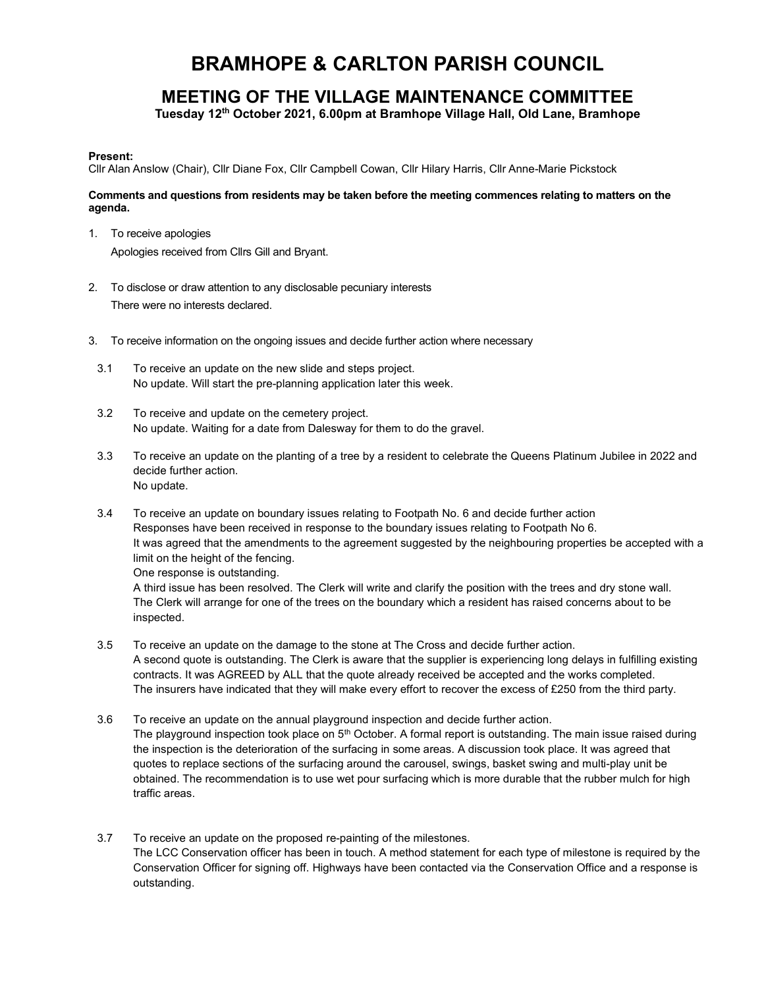## BRAMHOPE & CARLTON PARISH COUNCIL

## MEETING OF THE VILLAGE MAINTENANCE COMMITTEE

Tuesday 12th October 2021, 6.00pm at Bramhope Village Hall, Old Lane, Bramhope

## Present:

Cllr Alan Anslow (Chair), Cllr Diane Fox, Cllr Campbell Cowan, Cllr Hilary Harris, Cllr Anne-Marie Pickstock

## Comments and questions from residents may be taken before the meeting commences relating to matters on the agenda.

- 1. To receive apologies Apologies received from Cllrs Gill and Bryant.
- 2. To disclose or draw attention to any disclosable pecuniary interests There were no interests declared.
- 3. To receive information on the ongoing issues and decide further action where necessary
- 3.1 To receive an update on the new slide and steps project. No update. Will start the pre-planning application later this week.
- 3.2 To receive and update on the cemetery project. No update. Waiting for a date from Dalesway for them to do the gravel.
- 3.3 To receive an update on the planting of a tree by a resident to celebrate the Queens Platinum Jubilee in 2022 and decide further action. No update.
- 3.4 To receive an update on boundary issues relating to Footpath No. 6 and decide further action Responses have been received in response to the boundary issues relating to Footpath No 6. It was agreed that the amendments to the agreement suggested by the neighbouring properties be accepted with a limit on the height of the fencing. One response is outstanding.

A third issue has been resolved. The Clerk will write and clarify the position with the trees and dry stone wall. The Clerk will arrange for one of the trees on the boundary which a resident has raised concerns about to be inspected.

- 3.5 To receive an update on the damage to the stone at The Cross and decide further action. A second quote is outstanding. The Clerk is aware that the supplier is experiencing long delays in fulfilling existing contracts. It was AGREED by ALL that the quote already received be accepted and the works completed. The insurers have indicated that they will make every effort to recover the excess of £250 from the third party.
- 3.6 To receive an update on the annual playground inspection and decide further action. The playground inspection took place on  $5<sup>th</sup>$  October. A formal report is outstanding. The main issue raised during the inspection is the deterioration of the surfacing in some areas. A discussion took place. It was agreed that quotes to replace sections of the surfacing around the carousel, swings, basket swing and multi-play unit be obtained. The recommendation is to use wet pour surfacing which is more durable that the rubber mulch for high traffic areas.
- 3.7 To receive an update on the proposed re-painting of the milestones. The LCC Conservation officer has been in touch. A method statement for each type of milestone is required by the Conservation Officer for signing off. Highways have been contacted via the Conservation Office and a response is outstanding.